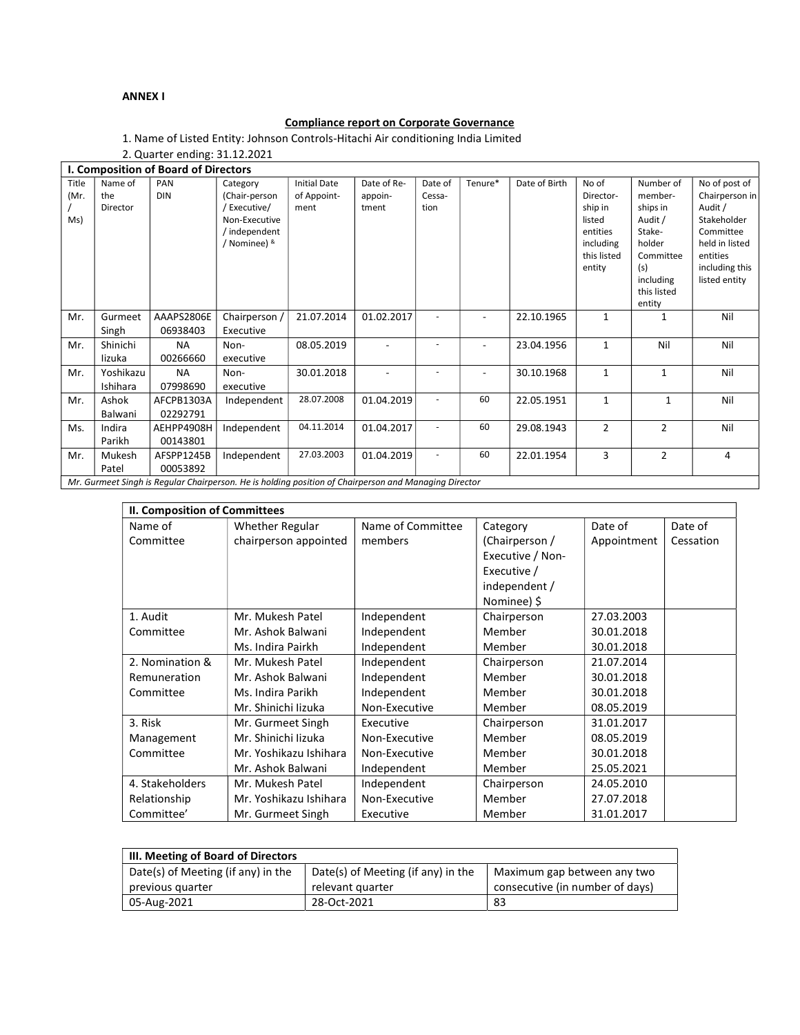## ANNEX I

## Compliance report on Corporate Governance

1. Name of Listed Entity: Johnson Controls-Hitachi Air conditioning India Limited

| 2. Quarter ending: 31.12.2021        |                                                                                                       |                        |                                                                                            |                                            |                                 |                           |         |               |                                                                                           |                                                                                                                           |                                                                                                                                         |
|--------------------------------------|-------------------------------------------------------------------------------------------------------|------------------------|--------------------------------------------------------------------------------------------|--------------------------------------------|---------------------------------|---------------------------|---------|---------------|-------------------------------------------------------------------------------------------|---------------------------------------------------------------------------------------------------------------------------|-----------------------------------------------------------------------------------------------------------------------------------------|
| I. Composition of Board of Directors |                                                                                                       |                        |                                                                                            |                                            |                                 |                           |         |               |                                                                                           |                                                                                                                           |                                                                                                                                         |
| Title<br>(Mr.<br>Ms)                 | Name of<br>the<br>Director                                                                            | PAN<br><b>DIN</b>      | Category<br>(Chair-person<br>/Executive/<br>Non-Executive<br>/ independent<br>/ Nominee) & | <b>Initial Date</b><br>of Appoint-<br>ment | Date of Re-<br>appoin-<br>tment | Date of<br>Cessa-<br>tion | Tenure* | Date of Birth | No of<br>Director-<br>ship in<br>listed<br>entities<br>including<br>this listed<br>entity | Number of<br>member-<br>ships in<br>Audit /<br>Stake-<br>holder<br>Committee<br>(s)<br>including<br>this listed<br>entity | No of post of<br>Chairperson in<br>Audit /<br>Stakeholder<br>Committee<br>held in listed<br>entities<br>including this<br>listed entity |
| Mr.                                  | Gurmeet<br>Singh                                                                                      | AAAPS2806E<br>06938403 | Chairperson /<br>Executive                                                                 | 21.07.2014                                 | 01.02.2017                      |                           |         | 22.10.1965    | 1                                                                                         | 1                                                                                                                         | Nil                                                                                                                                     |
| Mr.                                  | Shinichi<br>lizuka                                                                                    | <b>NA</b><br>00266660  | Non-<br>executive                                                                          | 08.05.2019                                 |                                 |                           |         | 23.04.1956    | $\mathbf{1}$                                                                              | Nil                                                                                                                       | Nil                                                                                                                                     |
| Mr.                                  | Yoshikazu<br>Ishihara                                                                                 | <b>NA</b><br>07998690  | Non-<br>executive                                                                          | 30.01.2018                                 |                                 |                           |         | 30.10.1968    | 1                                                                                         | 1                                                                                                                         | Nil                                                                                                                                     |
| Mr.                                  | Ashok<br>Balwani                                                                                      | AFCPB1303A<br>02292791 | Independent                                                                                | 28.07.2008                                 | 01.04.2019                      |                           | 60      | 22.05.1951    | 1                                                                                         | 1                                                                                                                         | Nil                                                                                                                                     |
| Ms.                                  | Indira<br>Parikh                                                                                      | AEHPP4908H<br>00143801 | Independent                                                                                | 04.11.2014                                 | 01.04.2017                      |                           | 60      | 29.08.1943    | $\overline{2}$                                                                            | $\overline{2}$                                                                                                            | Nil                                                                                                                                     |
| Mr.                                  | Mukesh<br>Patel                                                                                       | AFSPP1245B<br>00053892 | Independent                                                                                | 27.03.2003                                 | 01.04.2019                      |                           | 60      | 22.01.1954    | 3                                                                                         | $\overline{2}$                                                                                                            | 4                                                                                                                                       |
|                                      | Mr. Gurmeet Singh is Regular Chairperson. He is holding position of Chairperson and Managing Director |                        |                                                                                            |                                            |                                 |                           |         |               |                                                                                           |                                                                                                                           |                                                                                                                                         |

| II. Composition of Committees |                        |                   |                  |             |           |  |  |
|-------------------------------|------------------------|-------------------|------------------|-------------|-----------|--|--|
| Name of                       | Whether Regular        | Name of Committee | Category         | Date of     | Date of   |  |  |
| Committee                     | chairperson appointed  | members           | (Chairperson /   | Appointment | Cessation |  |  |
|                               |                        |                   | Executive / Non- |             |           |  |  |
|                               |                        |                   | Executive /      |             |           |  |  |
|                               |                        |                   | independent /    |             |           |  |  |
|                               |                        |                   | Nominee) \$      |             |           |  |  |
| 1. Audit                      | Mr. Mukesh Patel       | Independent       | Chairperson      | 27.03.2003  |           |  |  |
| Committee                     | Mr. Ashok Balwani      | Independent       | Member           | 30.01.2018  |           |  |  |
|                               | Ms. Indira Pairkh      | Independent       | Member           | 30.01.2018  |           |  |  |
| 2. Nomination &               | Mr. Mukesh Patel       | Independent       | Chairperson      | 21.07.2014  |           |  |  |
| Remuneration                  | Mr. Ashok Balwani      | Independent       | Member           | 30.01.2018  |           |  |  |
| Committee                     | Ms. Indira Parikh      | Independent       | Member           | 30.01.2018  |           |  |  |
|                               | Mr. Shinichi lizuka    | Non-Executive     | Member           | 08.05.2019  |           |  |  |
| 3. Risk                       | Mr. Gurmeet Singh      | Executive         | Chairperson      | 31.01.2017  |           |  |  |
| Management                    | Mr. Shinichi lizuka    | Non-Executive     | Member           | 08.05.2019  |           |  |  |
| Committee                     | Mr. Yoshikazu Ishihara | Non-Executive     | Member           | 30.01.2018  |           |  |  |
|                               | Mr. Ashok Balwani      | Independent       | Member           | 25.05.2021  |           |  |  |
| 4. Stakeholders               | Mr. Mukesh Patel       | Independent       | Chairperson      | 24.05.2010  |           |  |  |
| Relationship                  | Mr. Yoshikazu Ishihara | Non-Executive     | Member           | 27.07.2018  |           |  |  |
| Committee'                    | Mr. Gurmeet Singh      | Executive         | Member           | 31.01.2017  |           |  |  |

| III. Meeting of Board of Directors |                                    |                                 |  |  |  |  |
|------------------------------------|------------------------------------|---------------------------------|--|--|--|--|
| Date(s) of Meeting (if any) in the | Date(s) of Meeting (if any) in the | Maximum gap between any two     |  |  |  |  |
| previous quarter                   | relevant quarter                   | consecutive (in number of days) |  |  |  |  |
| 05-Aug-2021                        | 28-Oct-2021                        | 83                              |  |  |  |  |